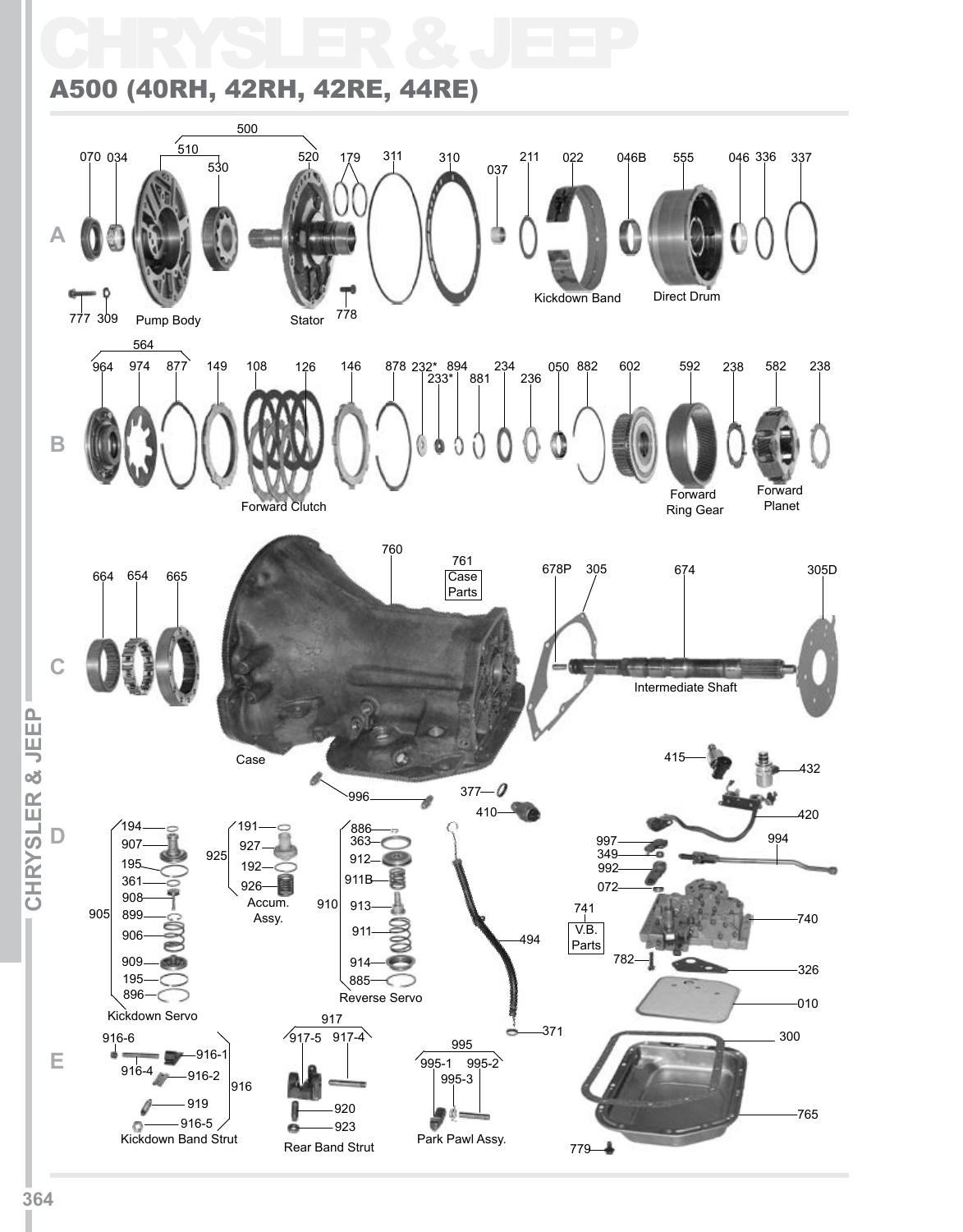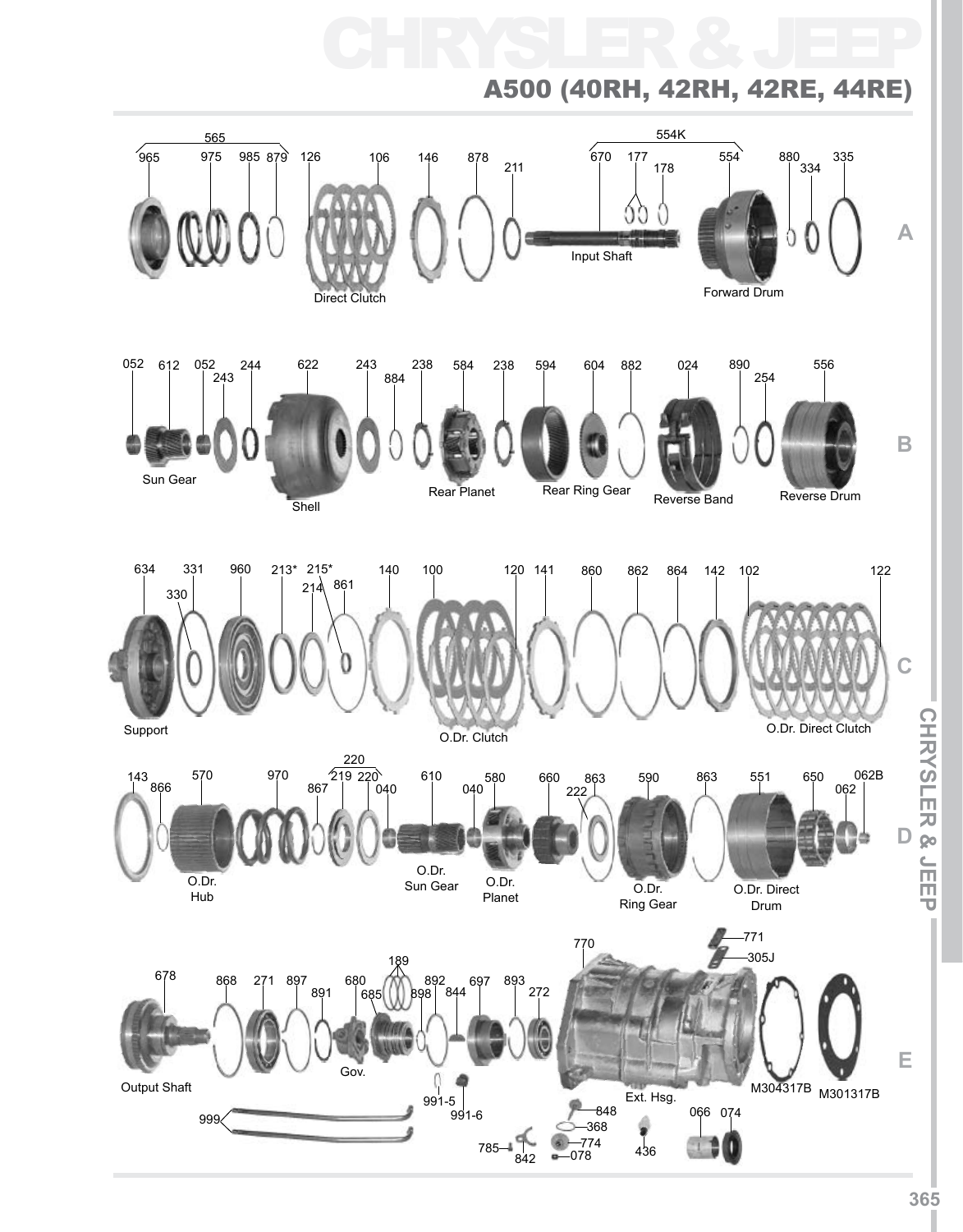![](_page_1_Figure_0.jpeg)

# **CHRYSLER & JEEP ICHRYSLER & JEEPI**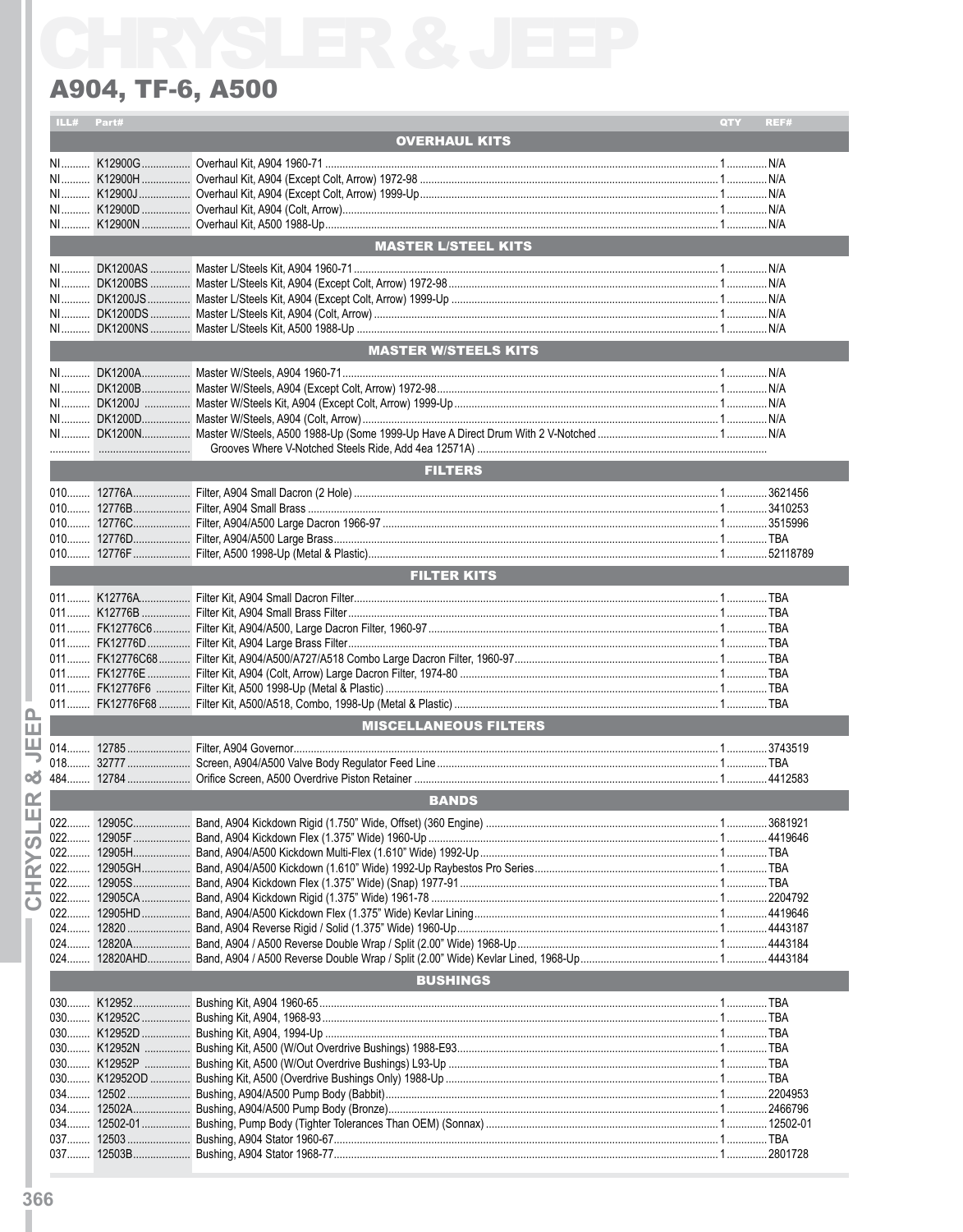|        | ILL#   | Part#   |                              | QTY | REF#     |
|--------|--------|---------|------------------------------|-----|----------|
|        |        |         | <b>OVERHAUL KITS</b>         |     |          |
|        |        |         |                              |     |          |
|        |        |         |                              |     |          |
|        |        |         |                              |     |          |
|        |        |         |                              |     |          |
|        |        |         |                              |     |          |
|        |        |         |                              |     |          |
|        |        |         | <b>MASTER L/STEEL KITS</b>   |     |          |
|        |        |         |                              |     |          |
|        |        |         |                              |     |          |
|        |        |         |                              |     |          |
|        |        |         |                              |     |          |
|        |        |         |                              |     |          |
|        |        |         | <b>MASTER W/STEELS KITS</b>  |     |          |
|        |        |         |                              |     |          |
|        |        |         |                              |     |          |
|        |        |         |                              |     |          |
|        |        |         |                              |     |          |
|        |        |         |                              |     |          |
|        |        |         |                              |     |          |
|        |        |         |                              |     |          |
|        |        |         | <b>FILTERS</b>               |     |          |
|        |        |         |                              |     |          |
|        |        |         |                              |     |          |
|        |        |         |                              |     |          |
|        |        |         |                              |     |          |
|        |        |         |                              |     |          |
|        |        |         |                              |     |          |
|        |        |         | <b>FILTER KITS</b>           |     |          |
|        |        |         |                              |     |          |
|        |        |         |                              |     |          |
|        |        |         |                              |     |          |
|        |        |         |                              |     |          |
|        |        |         |                              |     |          |
|        |        |         |                              |     |          |
|        |        |         |                              |     |          |
|        |        |         |                              |     |          |
| Δ.     |        |         | <b>MISCELLANEOUS FILTERS</b> |     |          |
| ш<br>ш |        |         |                              |     |          |
|        |        |         |                              |     |          |
|        |        |         |                              |     |          |
| ٥ð     |        |         |                              |     |          |
| œ      |        |         | <b>BANDS</b>                 |     |          |
| ш      | noo    | 12905C. |                              |     | 13681921 |
|        | 022    |         |                              |     |          |
| ഗ      |        |         |                              |     |          |
|        |        |         |                              |     |          |
| œ      |        |         |                              |     |          |
| 고      | 022……… |         |                              |     |          |
| ω      | 022    |         |                              |     |          |
|        |        |         |                              |     |          |
|        |        |         |                              |     |          |
|        | $024$  |         |                              |     |          |
|        |        |         | <b>BUSHINGS</b>              |     |          |
|        |        |         |                              |     |          |
|        |        |         |                              |     |          |
|        |        |         |                              |     |          |
|        |        |         |                              |     |          |
|        |        |         |                              |     |          |
|        |        |         |                              |     |          |
|        |        |         |                              |     |          |
|        |        |         |                              |     |          |
|        |        |         |                              |     |          |
|        |        |         |                              |     |          |
|        |        |         |                              |     |          |
|        |        |         |                              |     |          |
|        |        |         |                              |     |          |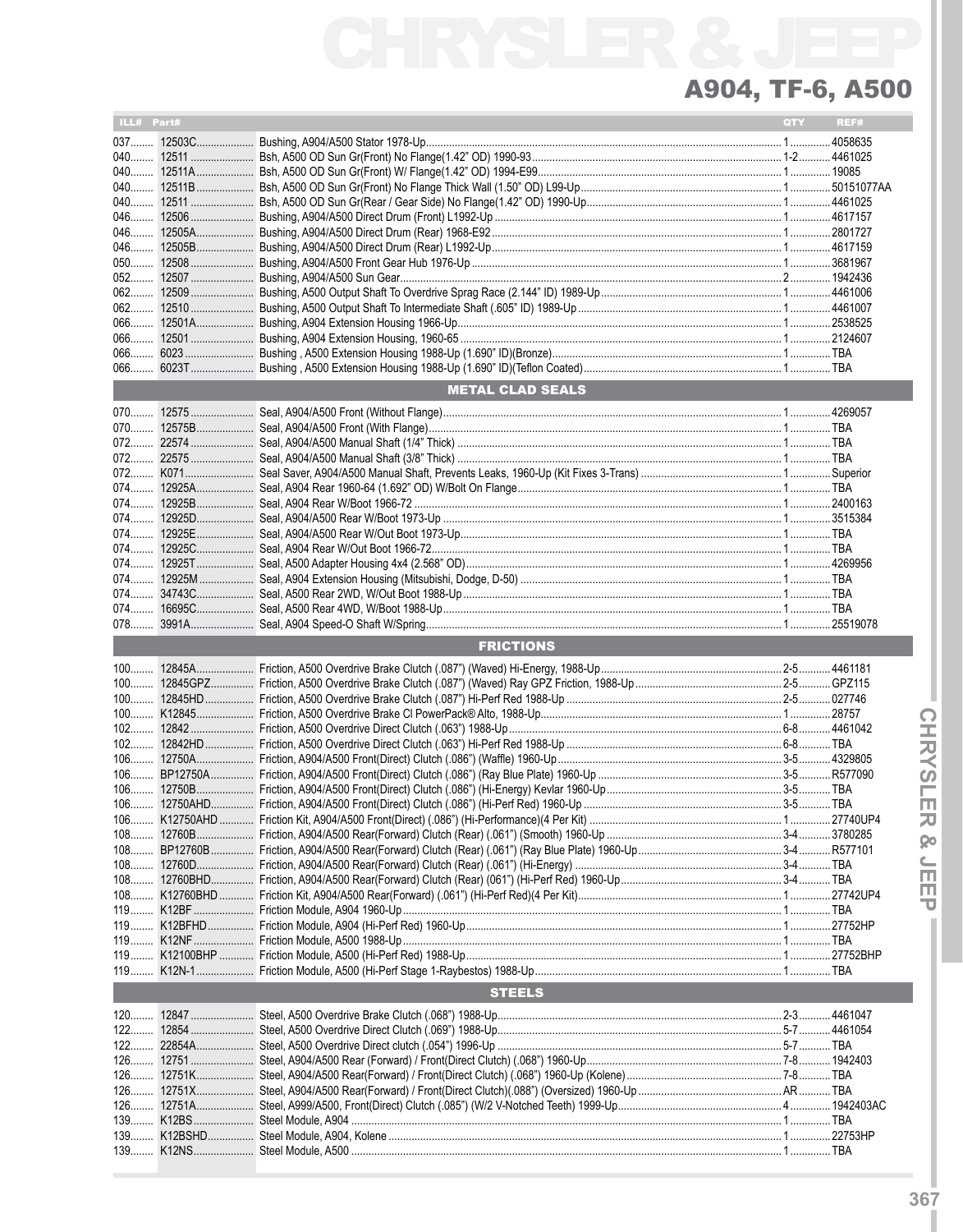| ILL# Part# |            |                         | QTY | REF# |
|------------|------------|-------------------------|-----|------|
|            | 037 12503C |                         |     |      |
|            |            |                         |     |      |
|            |            |                         |     |      |
|            |            |                         |     |      |
|            |            |                         |     |      |
|            |            |                         |     |      |
| 046        |            |                         |     |      |
|            |            |                         |     |      |
|            |            |                         |     |      |
|            |            |                         |     |      |
|            |            |                         |     |      |
|            |            |                         |     |      |
| $066$      |            |                         |     |      |
|            |            |                         |     |      |
|            |            |                         |     |      |
|            |            | <b>METAL CLAD SEALS</b> |     |      |
|            |            |                         |     |      |
| $070$      |            |                         |     |      |
|            |            |                         |     |      |
| $072$      |            |                         |     |      |
|            |            |                         |     |      |
|            |            |                         |     |      |
|            |            |                         |     |      |
|            |            |                         |     |      |
|            |            |                         |     |      |
|            |            |                         |     |      |
|            |            |                         |     |      |
|            |            |                         |     |      |
|            |            |                         |     |      |
| 074        |            |                         |     |      |
|            |            |                         |     |      |
|            |            | <b>FRICTIONS</b>        |     |      |
|            |            |                         |     |      |
|            |            |                         |     |      |
|            |            |                         |     |      |
|            |            |                         |     |      |
|            |            |                         |     |      |
|            |            |                         |     |      |
|            |            |                         |     |      |
|            |            |                         |     |      |
| $106$      |            |                         |     |      |
|            |            |                         |     |      |
|            |            |                         |     |      |
|            |            |                         |     |      |
|            |            |                         |     |      |
|            |            |                         |     |      |
|            |            |                         |     |      |
|            |            |                         |     |      |
|            |            |                         |     |      |
|            |            |                         |     |      |
|            |            |                         |     |      |
|            |            |                         |     |      |
|            |            |                         |     |      |
|            |            | <b>STEELS</b>           |     |      |
|            |            |                         |     |      |
|            |            |                         |     |      |
|            |            |                         |     |      |
|            |            |                         |     |      |
|            |            |                         |     |      |
| $126$      |            |                         |     |      |
|            |            |                         |     |      |
|            |            |                         |     |      |
|            |            |                         |     |      |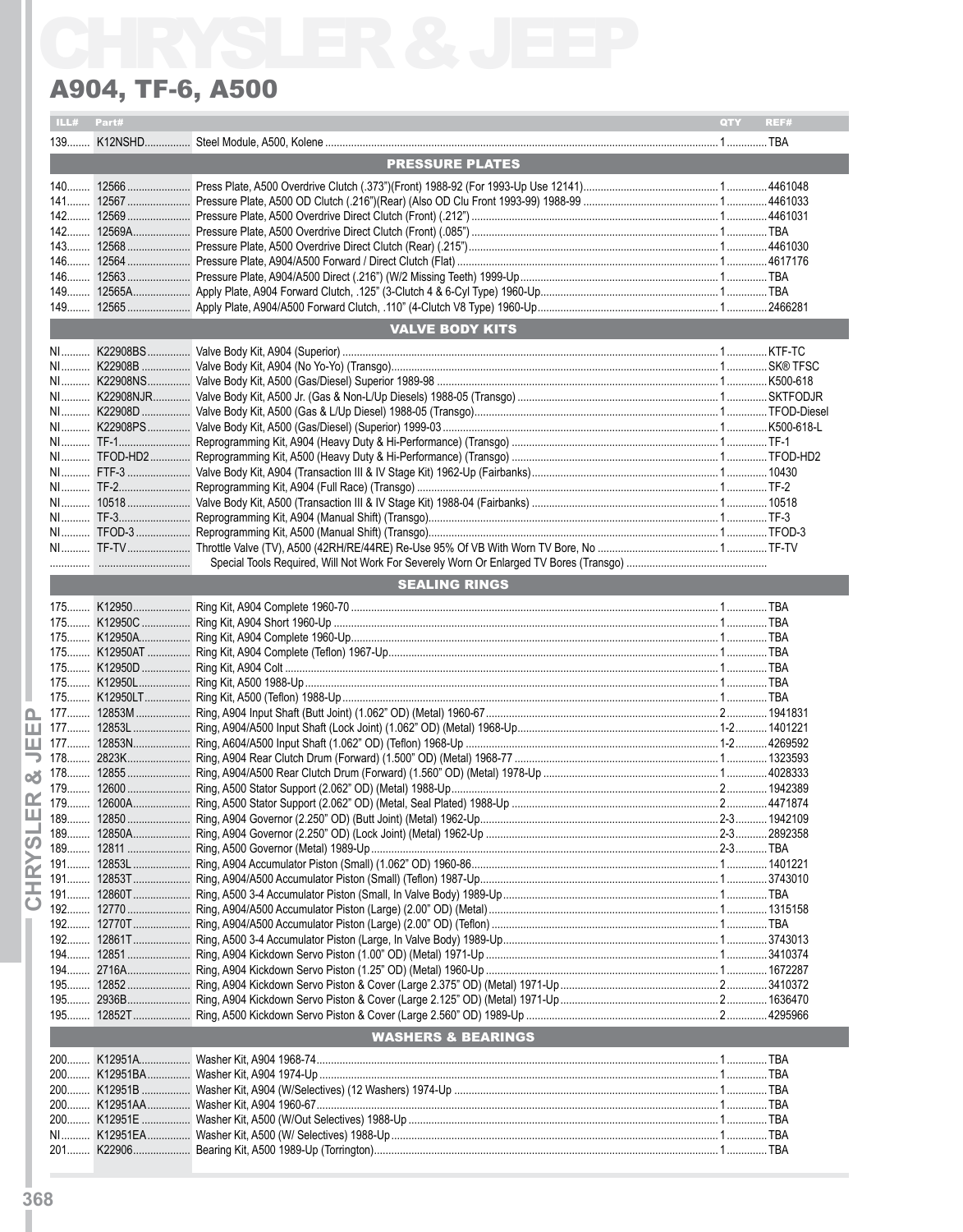|             | ILL# Part#           |                               | QTY <b>A</b> | REF# |  |  |  |  |  |
|-------------|----------------------|-------------------------------|--------------|------|--|--|--|--|--|
|             |                      |                               |              |      |  |  |  |  |  |
|             |                      | <b>PRESSURE PLATES</b>        |              |      |  |  |  |  |  |
|             |                      |                               |              |      |  |  |  |  |  |
|             |                      |                               |              |      |  |  |  |  |  |
|             |                      |                               |              |      |  |  |  |  |  |
|             |                      |                               |              |      |  |  |  |  |  |
|             |                      |                               |              |      |  |  |  |  |  |
|             |                      |                               |              |      |  |  |  |  |  |
|             |                      |                               |              |      |  |  |  |  |  |
|             |                      |                               |              |      |  |  |  |  |  |
|             |                      |                               |              |      |  |  |  |  |  |
|             |                      |                               |              |      |  |  |  |  |  |
|             |                      | <b>VALVE BODY KITS</b>        |              |      |  |  |  |  |  |
|             |                      |                               |              |      |  |  |  |  |  |
|             |                      |                               |              |      |  |  |  |  |  |
|             |                      |                               |              |      |  |  |  |  |  |
|             |                      |                               |              |      |  |  |  |  |  |
|             |                      |                               |              |      |  |  |  |  |  |
|             |                      |                               |              |      |  |  |  |  |  |
|             |                      |                               |              |      |  |  |  |  |  |
|             |                      |                               |              |      |  |  |  |  |  |
|             |                      |                               |              |      |  |  |  |  |  |
|             |                      |                               |              |      |  |  |  |  |  |
|             |                      |                               |              |      |  |  |  |  |  |
|             |                      |                               |              |      |  |  |  |  |  |
|             |                      |                               |              |      |  |  |  |  |  |
|             |                      |                               |              |      |  |  |  |  |  |
|             | <b>SEALING RINGS</b> |                               |              |      |  |  |  |  |  |
|             |                      |                               |              |      |  |  |  |  |  |
|             |                      |                               |              |      |  |  |  |  |  |
|             |                      |                               |              |      |  |  |  |  |  |
|             |                      |                               |              |      |  |  |  |  |  |
|             |                      |                               |              |      |  |  |  |  |  |
|             |                      |                               |              |      |  |  |  |  |  |
|             |                      |                               |              |      |  |  |  |  |  |
| ൨           |                      |                               |              |      |  |  |  |  |  |
|             |                      |                               |              |      |  |  |  |  |  |
|             |                      |                               |              |      |  |  |  |  |  |
|             |                      |                               |              |      |  |  |  |  |  |
| oX.         |                      |                               |              |      |  |  |  |  |  |
|             |                      |                               |              |      |  |  |  |  |  |
|             |                      |                               |              |      |  |  |  |  |  |
| Ш 189.      | 12850                |                               |              |      |  |  |  |  |  |
|             |                      |                               |              |      |  |  |  |  |  |
| ഗ           |                      |                               |              |      |  |  |  |  |  |
| 191<br>œ    |                      |                               |              |      |  |  |  |  |  |
| Ξ           |                      |                               |              |      |  |  |  |  |  |
| $\mathbf C$ |                      |                               |              |      |  |  |  |  |  |
|             |                      |                               |              |      |  |  |  |  |  |
| $192$       |                      |                               |              |      |  |  |  |  |  |
| $192$       |                      |                               |              |      |  |  |  |  |  |
|             |                      |                               |              |      |  |  |  |  |  |
|             |                      |                               |              |      |  |  |  |  |  |
| $195$       |                      |                               |              |      |  |  |  |  |  |
|             |                      |                               |              |      |  |  |  |  |  |
|             |                      |                               |              |      |  |  |  |  |  |
|             |                      | <b>WASHERS &amp; BEARINGS</b> |              |      |  |  |  |  |  |
|             |                      |                               |              |      |  |  |  |  |  |
|             |                      |                               |              |      |  |  |  |  |  |
|             |                      |                               |              |      |  |  |  |  |  |
|             |                      |                               |              |      |  |  |  |  |  |
|             |                      |                               |              |      |  |  |  |  |  |
|             |                      |                               |              |      |  |  |  |  |  |
|             |                      |                               |              |      |  |  |  |  |  |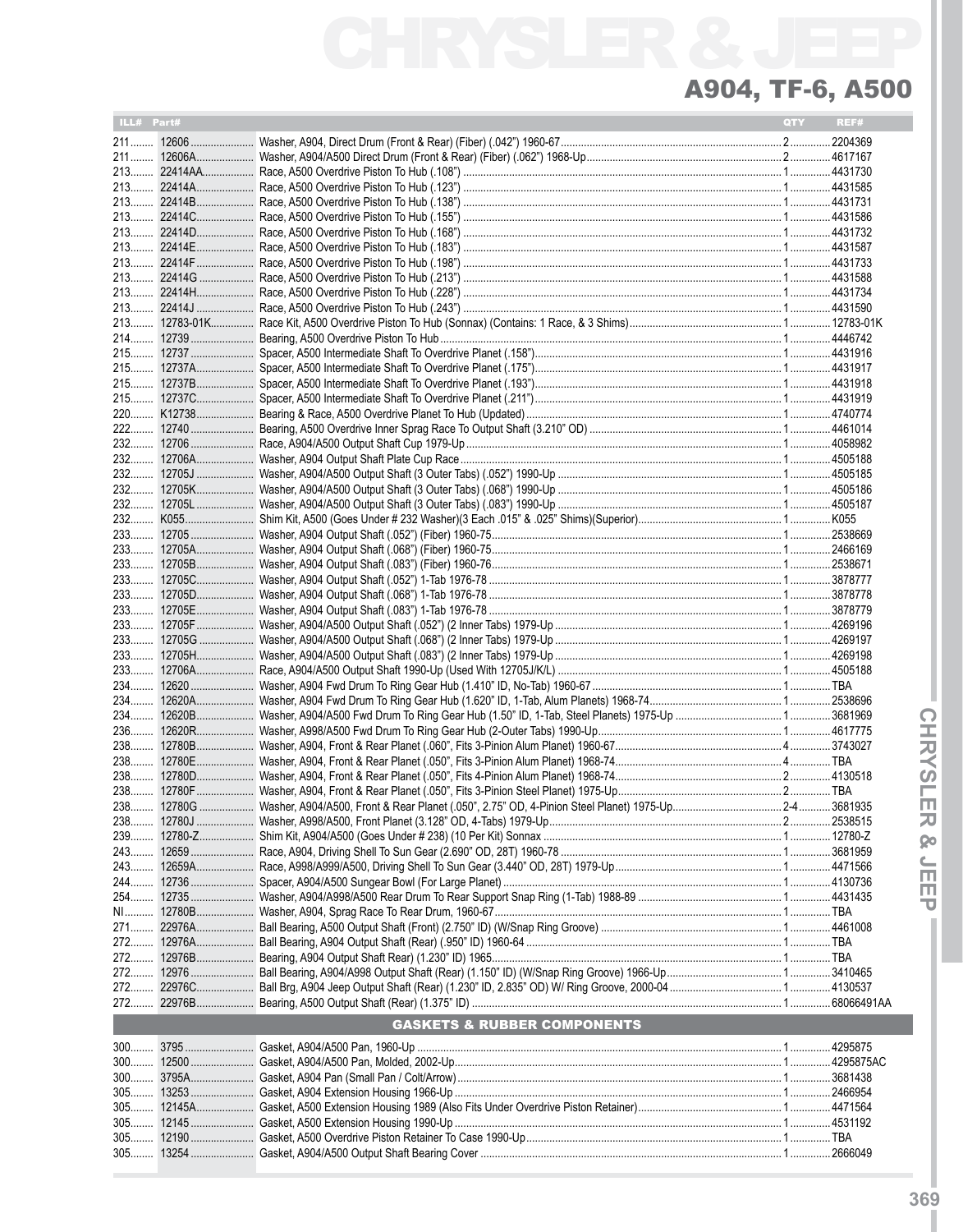٠

| ILL# Part# |                                        | QTY REF# |  |
|------------|----------------------------------------|----------|--|
|            |                                        |          |  |
|            |                                        |          |  |
|            |                                        |          |  |
|            |                                        |          |  |
|            |                                        |          |  |
|            |                                        |          |  |
|            |                                        |          |  |
|            |                                        |          |  |
|            |                                        |          |  |
|            |                                        |          |  |
|            |                                        |          |  |
|            |                                        |          |  |
|            |                                        |          |  |
|            |                                        |          |  |
|            |                                        |          |  |
|            |                                        |          |  |
|            |                                        |          |  |
|            |                                        |          |  |
|            |                                        |          |  |
|            |                                        |          |  |
|            |                                        |          |  |
|            |                                        |          |  |
|            |                                        |          |  |
|            |                                        |          |  |
|            |                                        |          |  |
|            |                                        |          |  |
|            |                                        |          |  |
|            |                                        |          |  |
|            |                                        |          |  |
|            |                                        |          |  |
|            |                                        |          |  |
|            |                                        |          |  |
|            |                                        |          |  |
|            |                                        |          |  |
|            |                                        |          |  |
|            |                                        |          |  |
|            |                                        |          |  |
|            |                                        |          |  |
|            |                                        |          |  |
|            |                                        |          |  |
|            |                                        |          |  |
|            |                                        |          |  |
|            |                                        |          |  |
|            |                                        |          |  |
| 243        |                                        |          |  |
|            |                                        |          |  |
|            |                                        |          |  |
|            |                                        |          |  |
|            |                                        |          |  |
|            |                                        |          |  |
|            |                                        |          |  |
|            |                                        |          |  |
|            |                                        |          |  |
|            |                                        |          |  |
|            |                                        |          |  |
|            | <b>GASKETS &amp; RUBBER COMPONENTS</b> |          |  |
|            |                                        |          |  |
|            |                                        |          |  |
|            |                                        |          |  |
|            |                                        |          |  |
|            |                                        |          |  |
|            |                                        |          |  |
|            |                                        |          |  |
|            |                                        |          |  |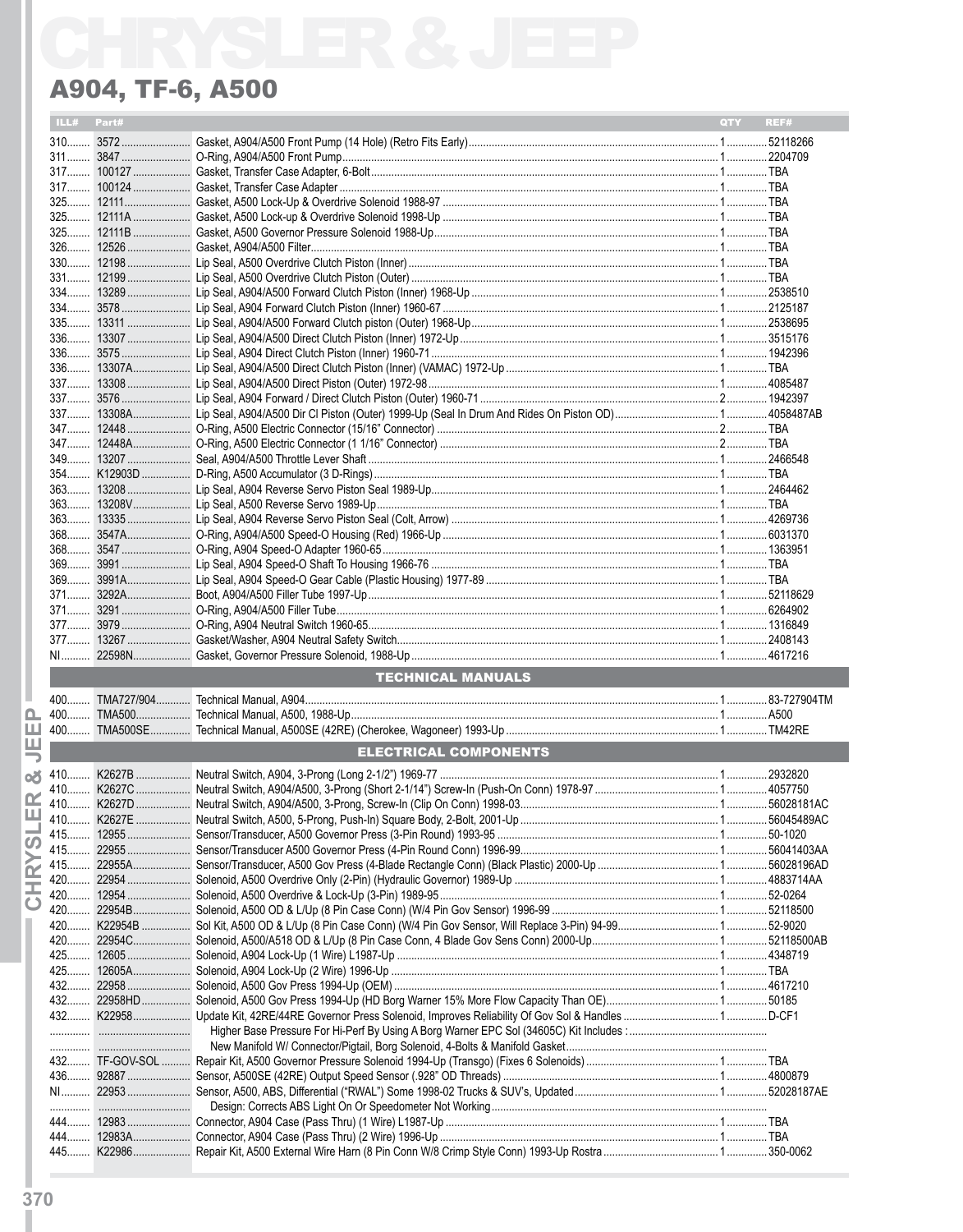#### ILL# Part# **Example 18 A DISPONE CONTROL TECHNICAL MANUALS** EL CONSUMING AND THE COMPONENTS

Ò.

ш

马

۵Ă

I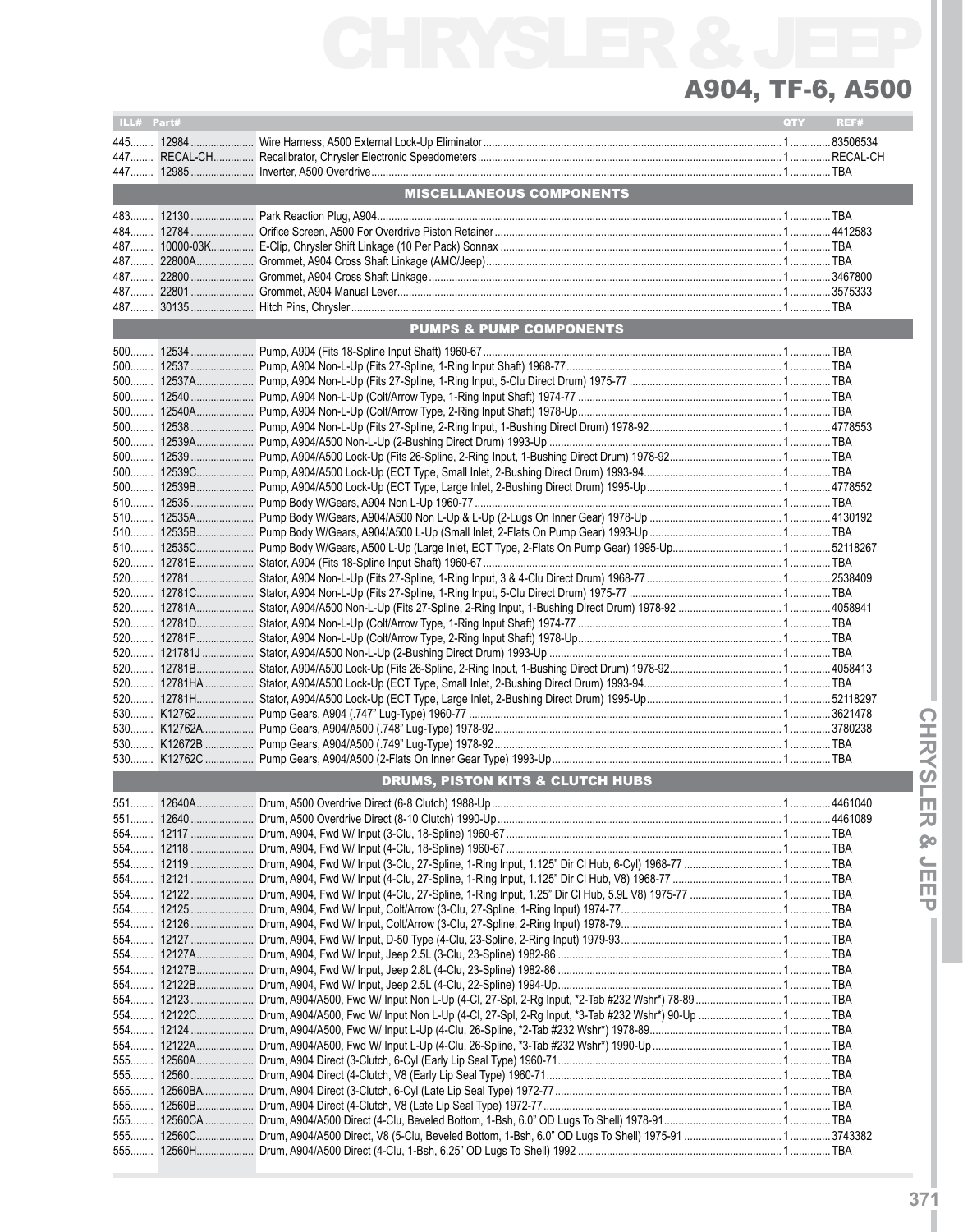| ILL# Part# |                                                                                                        | QTY | REF# |
|------------|--------------------------------------------------------------------------------------------------------|-----|------|
|            |                                                                                                        |     |      |
|            |                                                                                                        |     |      |
|            |                                                                                                        |     |      |
|            | <b>MISCELLANEOUS COMPONENTS</b>                                                                        |     |      |
|            |                                                                                                        |     |      |
|            |                                                                                                        |     |      |
|            |                                                                                                        |     |      |
|            |                                                                                                        |     |      |
|            |                                                                                                        |     |      |
|            |                                                                                                        |     |      |
|            |                                                                                                        |     |      |
|            | <b>PUMPS &amp; PUMP COMPONENTS</b>                                                                     |     |      |
|            |                                                                                                        |     |      |
|            |                                                                                                        |     |      |
|            |                                                                                                        |     |      |
|            |                                                                                                        |     |      |
|            |                                                                                                        |     |      |
|            |                                                                                                        |     |      |
|            |                                                                                                        |     |      |
|            |                                                                                                        |     |      |
|            |                                                                                                        |     |      |
|            |                                                                                                        |     |      |
|            |                                                                                                        |     |      |
|            |                                                                                                        |     |      |
|            |                                                                                                        |     |      |
|            |                                                                                                        |     |      |
|            |                                                                                                        |     |      |
|            |                                                                                                        |     |      |
|            |                                                                                                        |     |      |
|            |                                                                                                        |     |      |
|            |                                                                                                        |     |      |
|            |                                                                                                        |     |      |
|            |                                                                                                        |     |      |
|            |                                                                                                        |     |      |
|            |                                                                                                        |     |      |
|            |                                                                                                        |     |      |
|            |                                                                                                        |     |      |
|            |                                                                                                        |     |      |
|            | <b>DRUMS, PISTON KITS &amp; CLUTCH HUBS</b>                                                            |     |      |
|            |                                                                                                        |     |      |
|            |                                                                                                        |     |      |
|            |                                                                                                        |     |      |
|            |                                                                                                        |     |      |
| 554        |                                                                                                        |     |      |
|            |                                                                                                        |     |      |
|            |                                                                                                        |     |      |
|            |                                                                                                        |     |      |
|            |                                                                                                        |     |      |
|            |                                                                                                        |     |      |
|            |                                                                                                        |     |      |
|            |                                                                                                        |     |      |
|            |                                                                                                        |     |      |
| 554        | 12122C Drum, A904/A500, Fwd W/ Input Non L-Up (4-Cl, 27-Spl, 2-Rg Input, *3-Tab #232 Wshr*) 90-Up  TBA |     |      |
| 554        |                                                                                                        |     |      |
|            |                                                                                                        |     |      |
|            |                                                                                                        |     |      |
|            |                                                                                                        |     |      |
| 555        |                                                                                                        |     |      |
| 555        |                                                                                                        |     |      |
| 555        |                                                                                                        |     |      |
| 555        |                                                                                                        |     |      |
| $555$      |                                                                                                        |     |      |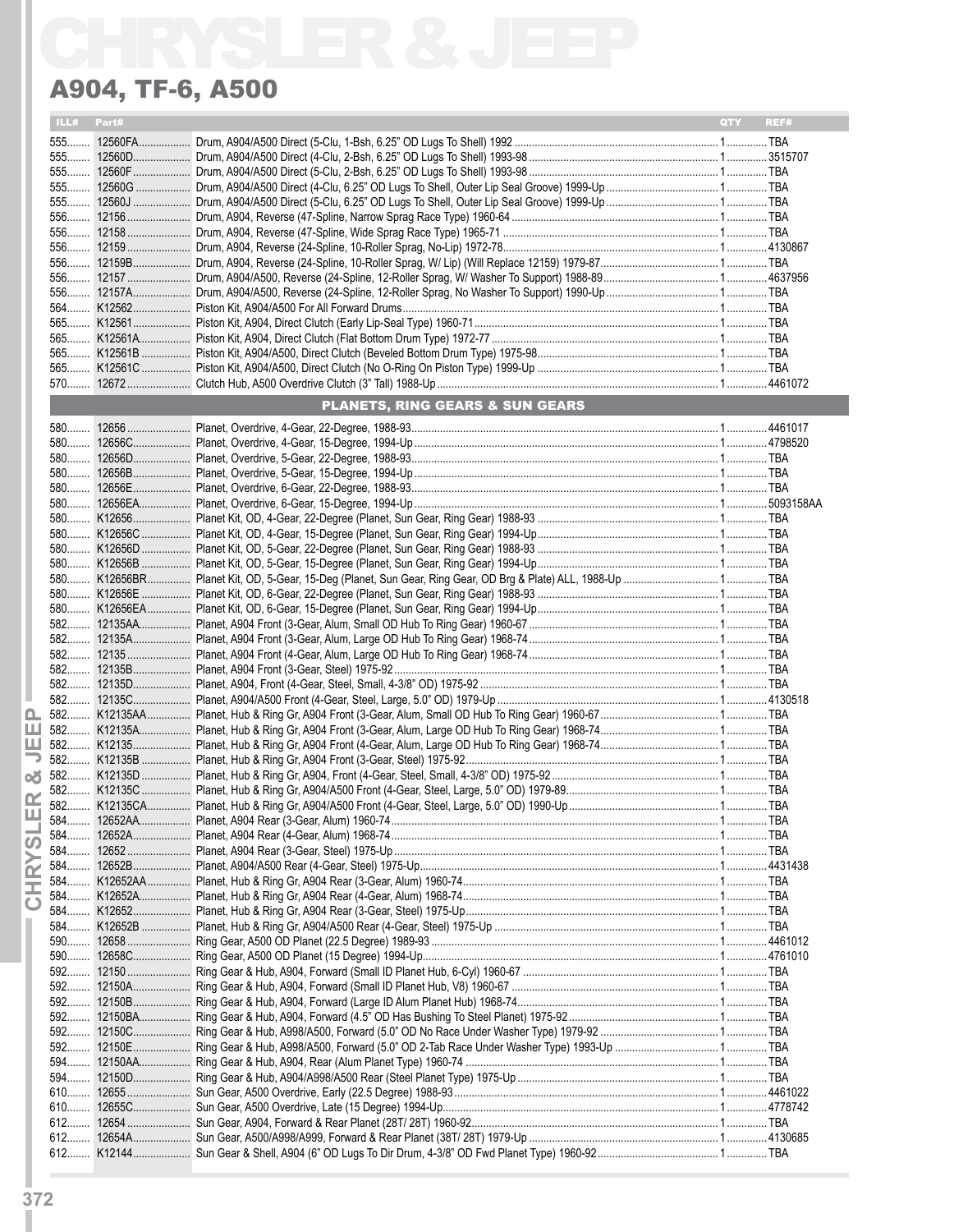| ILL#   | Part# |                                                                                                                                                                    | REF#<br><b>OTY</b> |
|--------|-------|--------------------------------------------------------------------------------------------------------------------------------------------------------------------|--------------------|
|        |       |                                                                                                                                                                    |                    |
|        |       |                                                                                                                                                                    |                    |
|        |       |                                                                                                                                                                    |                    |
|        |       |                                                                                                                                                                    |                    |
|        |       |                                                                                                                                                                    |                    |
|        |       |                                                                                                                                                                    |                    |
|        |       |                                                                                                                                                                    |                    |
|        |       |                                                                                                                                                                    |                    |
|        |       |                                                                                                                                                                    |                    |
|        |       |                                                                                                                                                                    |                    |
|        |       |                                                                                                                                                                    |                    |
|        |       |                                                                                                                                                                    |                    |
|        |       |                                                                                                                                                                    |                    |
|        |       |                                                                                                                                                                    |                    |
|        |       |                                                                                                                                                                    |                    |
|        |       |                                                                                                                                                                    |                    |
|        |       | <b>PLANETS, RING GEARS &amp; SUN GEARS</b><br><b>STATE OF STATE OF STATE OF STATE OF STATE OF STATE OF STATE OF STATE OF STATE OF STATE OF STATE OF STATE OF S</b> |                    |
|        |       |                                                                                                                                                                    |                    |
|        |       |                                                                                                                                                                    |                    |
|        |       |                                                                                                                                                                    |                    |
|        |       |                                                                                                                                                                    |                    |
|        |       |                                                                                                                                                                    |                    |
|        |       |                                                                                                                                                                    |                    |
|        |       |                                                                                                                                                                    |                    |
|        |       |                                                                                                                                                                    |                    |
|        |       |                                                                                                                                                                    |                    |
|        |       |                                                                                                                                                                    |                    |
|        |       |                                                                                                                                                                    |                    |
|        |       |                                                                                                                                                                    |                    |
|        |       |                                                                                                                                                                    |                    |
|        |       |                                                                                                                                                                    |                    |
|        |       |                                                                                                                                                                    |                    |
|        |       |                                                                                                                                                                    |                    |
|        |       |                                                                                                                                                                    |                    |
|        |       |                                                                                                                                                                    |                    |
|        |       |                                                                                                                                                                    |                    |
|        |       |                                                                                                                                                                    |                    |
|        |       |                                                                                                                                                                    |                    |
|        |       |                                                                                                                                                                    |                    |
|        |       |                                                                                                                                                                    |                    |
|        |       |                                                                                                                                                                    |                    |
|        |       |                                                                                                                                                                    |                    |
|        |       |                                                                                                                                                                    |                    |
| 584    |       |                                                                                                                                                                    |                    |
|        |       |                                                                                                                                                                    |                    |
| 584……… |       |                                                                                                                                                                    |                    |
|        |       |                                                                                                                                                                    |                    |
|        |       |                                                                                                                                                                    |                    |
|        |       |                                                                                                                                                                    |                    |
|        |       |                                                                                                                                                                    |                    |
|        |       |                                                                                                                                                                    |                    |
|        |       |                                                                                                                                                                    |                    |
|        |       |                                                                                                                                                                    |                    |
|        |       |                                                                                                                                                                    |                    |
|        |       |                                                                                                                                                                    |                    |
|        |       |                                                                                                                                                                    |                    |
|        |       |                                                                                                                                                                    |                    |
|        |       |                                                                                                                                                                    |                    |
|        |       |                                                                                                                                                                    |                    |
|        |       |                                                                                                                                                                    |                    |
|        |       |                                                                                                                                                                    |                    |
|        |       |                                                                                                                                                                    |                    |
|        |       |                                                                                                                                                                    |                    |
|        |       |                                                                                                                                                                    |                    |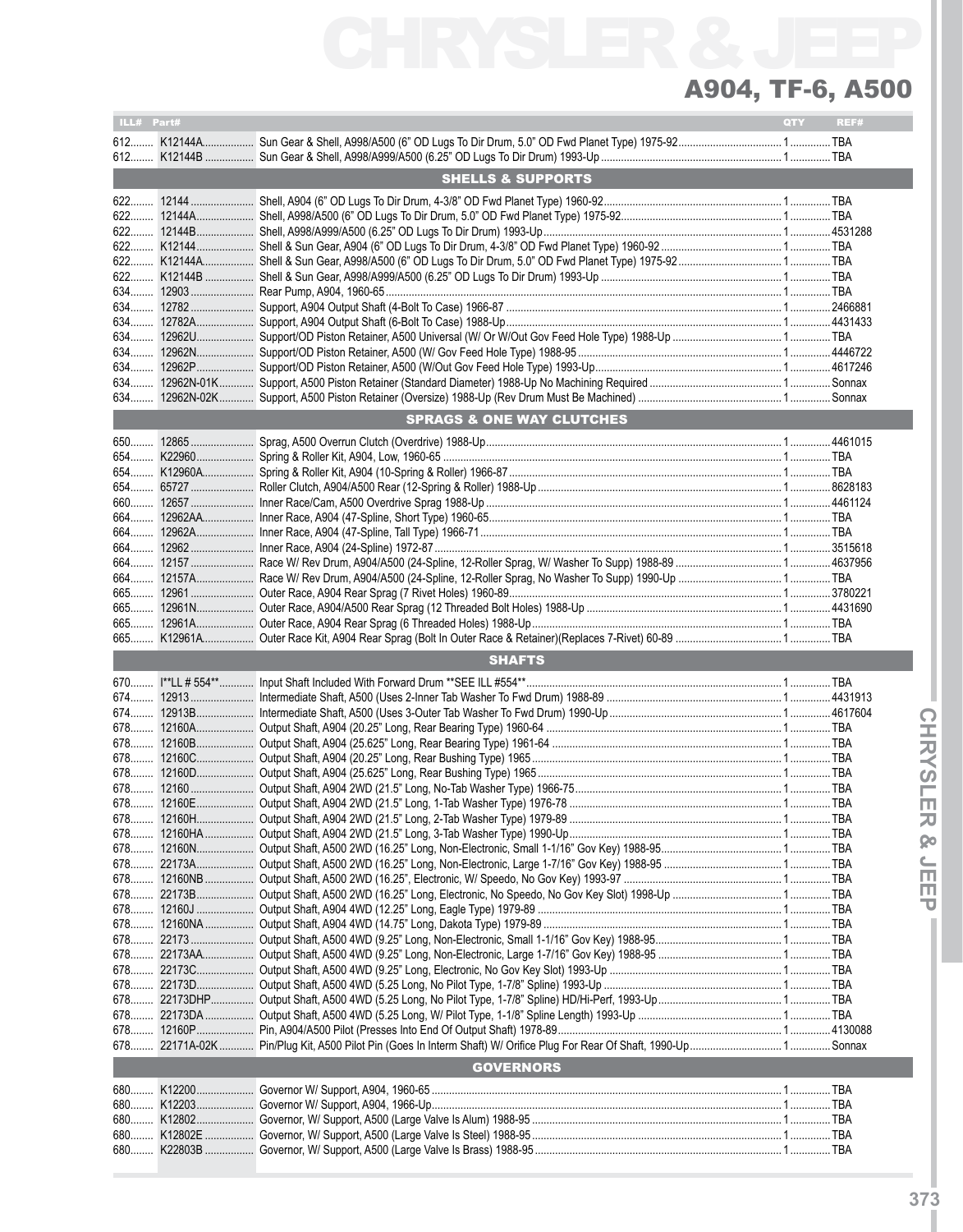| ILL# Part# |                                      | QTY | REF# |
|------------|--------------------------------------|-----|------|
|            |                                      |     |      |
|            |                                      |     |      |
|            | <b>SHELLS &amp; SUPPORTS</b>         |     |      |
|            |                                      |     |      |
|            |                                      |     |      |
|            |                                      |     |      |
|            |                                      |     |      |
|            |                                      |     |      |
|            |                                      |     |      |
|            |                                      |     |      |
| 634        |                                      |     |      |
| 634        |                                      |     |      |
| 634        |                                      |     |      |
| 634        |                                      |     |      |
| 634        |                                      |     |      |
| 634        |                                      |     |      |
|            | <b>SPRAGS &amp; ONE WAY CLUTCHES</b> |     |      |
|            |                                      |     |      |
|            |                                      |     |      |
|            |                                      |     |      |
|            |                                      |     |      |
|            |                                      |     |      |
| $664$      |                                      |     |      |
|            |                                      |     |      |
|            |                                      |     |      |
| 664        |                                      |     |      |
| 664        |                                      |     |      |
| 665        |                                      |     |      |
| 665        |                                      |     |      |
| 665        |                                      |     |      |
|            |                                      |     |      |
|            |                                      |     |      |
|            | <b>SHAFTS</b>                        |     |      |
|            |                                      |     |      |
|            |                                      |     |      |
|            |                                      |     |      |
|            |                                      |     |      |
|            |                                      |     |      |
|            |                                      |     |      |
|            |                                      |     |      |
|            |                                      |     |      |
|            |                                      |     |      |
|            |                                      |     |      |
|            |                                      |     |      |
| 678        |                                      |     |      |
| 678        |                                      |     |      |
|            |                                      |     |      |
|            |                                      |     |      |
|            |                                      |     |      |
| 678        |                                      |     |      |
| 678        |                                      |     |      |
|            |                                      |     |      |
|            |                                      |     |      |
|            |                                      |     |      |
|            |                                      |     |      |
|            | <b>GOVERNORS</b>                     |     |      |
|            |                                      |     |      |
|            |                                      |     |      |
|            |                                      |     |      |
|            |                                      |     |      |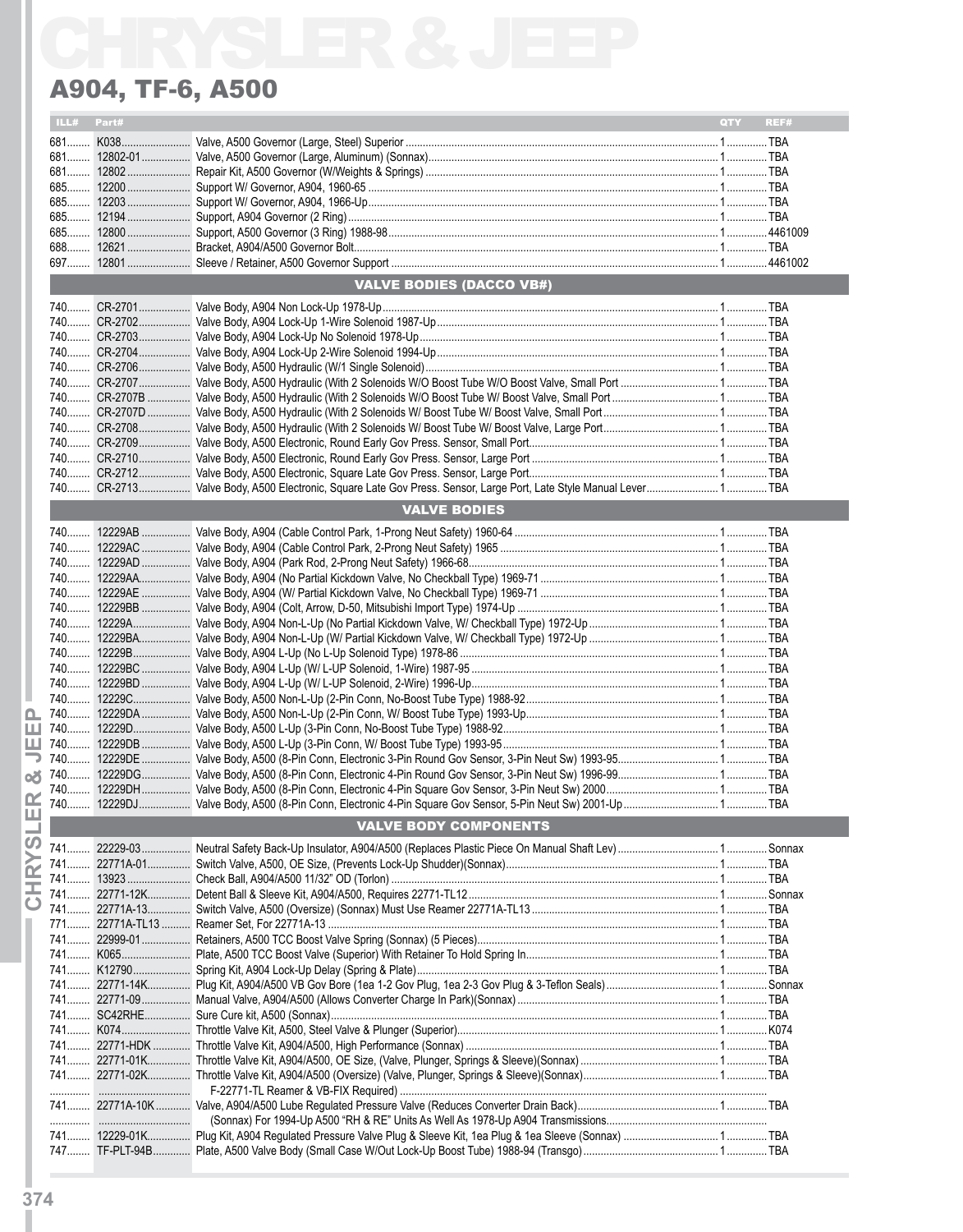| ILL# Part# |                                 | <b>OTY</b> | REF# |
|------------|---------------------------------|------------|------|
|            |                                 |            |      |
|            |                                 |            |      |
|            |                                 |            |      |
|            |                                 |            |      |
|            |                                 |            |      |
|            |                                 |            |      |
|            |                                 |            |      |
|            |                                 |            |      |
|            | <b>VALVE BODIES (DACCO VB#)</b> |            |      |
|            |                                 |            |      |
|            |                                 |            |      |
|            |                                 |            |      |
|            |                                 |            |      |
|            |                                 |            |      |
|            |                                 |            |      |
|            |                                 |            |      |
|            |                                 |            |      |
|            |                                 |            |      |
|            |                                 |            |      |
|            |                                 |            |      |
|            |                                 |            |      |
|            | <b>VALVE BODIES</b>             |            |      |
|            |                                 |            |      |
|            |                                 |            |      |
|            |                                 |            |      |
|            |                                 |            |      |
|            |                                 |            |      |
|            |                                 |            |      |
|            |                                 |            |      |
|            |                                 |            |      |
|            |                                 |            |      |
|            |                                 |            |      |
|            |                                 |            |      |
|            |                                 |            |      |
|            |                                 |            |      |
|            |                                 |            |      |
|            |                                 |            |      |
|            |                                 |            |      |
|            |                                 |            |      |
|            |                                 |            |      |
|            | <b>VALVE BODY COMPONENTS</b>    |            |      |
|            |                                 |            |      |
|            |                                 |            |      |
|            |                                 |            |      |
|            |                                 |            |      |
|            |                                 |            |      |
|            |                                 |            |      |
|            |                                 |            |      |
|            |                                 |            |      |
|            |                                 |            |      |
|            |                                 |            |      |
|            |                                 |            |      |
|            |                                 |            |      |
|            |                                 |            |      |
|            |                                 |            |      |
|            |                                 |            |      |
|            |                                 |            |      |
|            |                                 |            |      |
|            |                                 |            |      |
|            |                                 |            |      |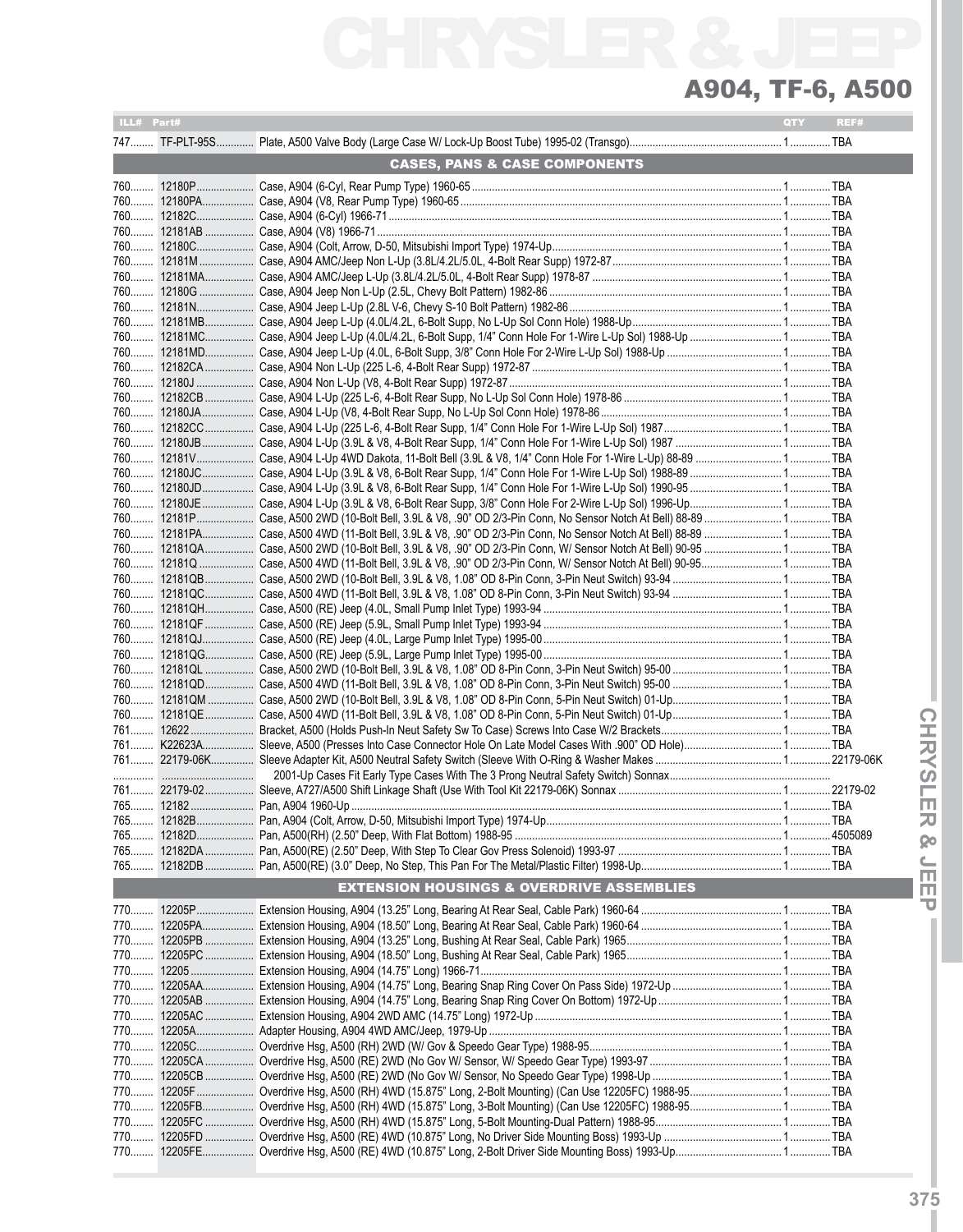| ILL# Part# |                                                                                                                                                                                                                                  | QTY | REF# |
|------------|----------------------------------------------------------------------------------------------------------------------------------------------------------------------------------------------------------------------------------|-----|------|
|            |                                                                                                                                                                                                                                  |     |      |
|            | <b>CASES, PANS &amp; CASE COMPONENTS</b>                                                                                                                                                                                         |     |      |
|            |                                                                                                                                                                                                                                  |     |      |
|            |                                                                                                                                                                                                                                  |     |      |
|            |                                                                                                                                                                                                                                  |     |      |
|            |                                                                                                                                                                                                                                  |     |      |
|            |                                                                                                                                                                                                                                  |     |      |
|            |                                                                                                                                                                                                                                  |     |      |
|            |                                                                                                                                                                                                                                  |     |      |
|            |                                                                                                                                                                                                                                  |     |      |
|            |                                                                                                                                                                                                                                  |     |      |
|            |                                                                                                                                                                                                                                  |     |      |
|            |                                                                                                                                                                                                                                  |     |      |
|            |                                                                                                                                                                                                                                  |     |      |
|            |                                                                                                                                                                                                                                  |     |      |
|            |                                                                                                                                                                                                                                  |     |      |
|            |                                                                                                                                                                                                                                  |     |      |
|            |                                                                                                                                                                                                                                  |     |      |
|            |                                                                                                                                                                                                                                  |     |      |
|            |                                                                                                                                                                                                                                  |     |      |
|            |                                                                                                                                                                                                                                  |     |      |
|            |                                                                                                                                                                                                                                  |     |      |
|            |                                                                                                                                                                                                                                  |     |      |
|            | 760 12181PA Case, A500 4WD (11-Bolt Bell, 3.9L & V8, .90" OD 2/3-Pin Conn, No Sensor Notch At Bell) 88-89  TBA<br>760 12181QA Case, A500 2WD (10-Bolt Bell, 3.9L & V8, .90" OD 2/3-Pin Conn, W/ Sensor Notch At Bell) 90-95  TBA |     |      |
|            | 760 12181Q  Case, A500 4WD (11-Bolt Bell, 3.9L & V8, .90" OD 2/3-Pin Conn, W/ Sensor Notch At Bell) 90-95 TBA                                                                                                                    |     |      |
|            |                                                                                                                                                                                                                                  |     |      |
|            |                                                                                                                                                                                                                                  |     |      |
|            |                                                                                                                                                                                                                                  |     |      |
|            |                                                                                                                                                                                                                                  |     |      |
|            |                                                                                                                                                                                                                                  |     |      |
|            |                                                                                                                                                                                                                                  |     |      |
|            |                                                                                                                                                                                                                                  |     |      |
|            |                                                                                                                                                                                                                                  |     |      |
|            |                                                                                                                                                                                                                                  |     |      |
|            |                                                                                                                                                                                                                                  |     |      |
|            |                                                                                                                                                                                                                                  |     |      |
|            |                                                                                                                                                                                                                                  |     |      |
|            |                                                                                                                                                                                                                                  |     |      |
|            |                                                                                                                                                                                                                                  |     |      |
|            |                                                                                                                                                                                                                                  |     |      |
|            |                                                                                                                                                                                                                                  |     |      |
| 765        |                                                                                                                                                                                                                                  |     |      |
|            |                                                                                                                                                                                                                                  |     |      |
|            | <b>EXTENSION HOUSINGS &amp; OVERDRIVE ASSEMBLIES</b>                                                                                                                                                                             |     |      |
|            |                                                                                                                                                                                                                                  |     |      |
|            |                                                                                                                                                                                                                                  |     |      |
|            |                                                                                                                                                                                                                                  |     |      |
|            |                                                                                                                                                                                                                                  |     |      |
|            |                                                                                                                                                                                                                                  |     |      |
|            |                                                                                                                                                                                                                                  |     |      |
|            |                                                                                                                                                                                                                                  |     |      |
|            |                                                                                                                                                                                                                                  |     |      |
|            |                                                                                                                                                                                                                                  |     |      |
|            |                                                                                                                                                                                                                                  |     |      |
|            |                                                                                                                                                                                                                                  |     |      |
|            |                                                                                                                                                                                                                                  |     |      |
|            |                                                                                                                                                                                                                                  |     |      |
|            |                                                                                                                                                                                                                                  |     |      |
|            |                                                                                                                                                                                                                                  |     |      |
|            |                                                                                                                                                                                                                                  |     |      |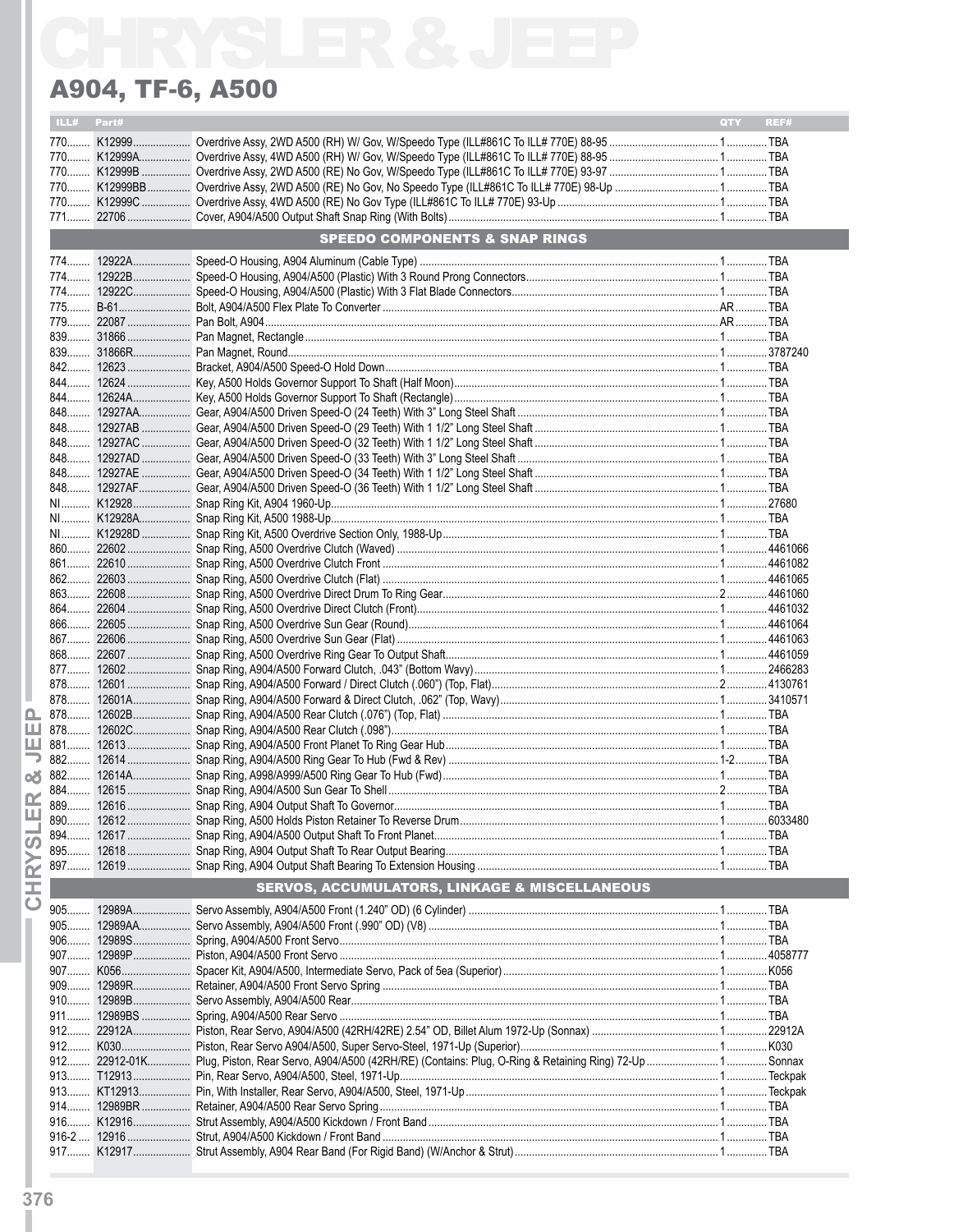|  | <b>SPEEDO COMPONENTS &amp; SNAP RINGS</b> | <b>QTY</b>                                               | REF# |
|--|-------------------------------------------|----------------------------------------------------------|------|
|  |                                           |                                                          |      |
|  |                                           |                                                          |      |
|  |                                           |                                                          |      |
|  |                                           |                                                          |      |
|  |                                           |                                                          |      |
|  |                                           |                                                          |      |
|  |                                           |                                                          |      |
|  |                                           |                                                          |      |
|  |                                           |                                                          |      |
|  |                                           |                                                          |      |
|  |                                           |                                                          |      |
|  |                                           |                                                          |      |
|  |                                           |                                                          |      |
|  |                                           |                                                          |      |
|  |                                           |                                                          |      |
|  |                                           |                                                          |      |
|  |                                           |                                                          |      |
|  |                                           |                                                          |      |
|  |                                           |                                                          |      |
|  |                                           |                                                          |      |
|  |                                           |                                                          |      |
|  |                                           |                                                          |      |
|  |                                           |                                                          |      |
|  |                                           |                                                          |      |
|  |                                           |                                                          |      |
|  |                                           |                                                          |      |
|  |                                           |                                                          |      |
|  |                                           |                                                          |      |
|  |                                           |                                                          |      |
|  |                                           |                                                          |      |
|  |                                           |                                                          |      |
|  |                                           |                                                          |      |
|  |                                           |                                                          |      |
|  |                                           |                                                          |      |
|  |                                           |                                                          |      |
|  |                                           |                                                          |      |
|  |                                           |                                                          |      |
|  |                                           |                                                          |      |
|  |                                           |                                                          |      |
|  |                                           |                                                          |      |
|  |                                           |                                                          |      |
|  |                                           |                                                          |      |
|  |                                           |                                                          |      |
|  |                                           |                                                          |      |
|  |                                           |                                                          |      |
|  |                                           |                                                          |      |
|  |                                           |                                                          |      |
|  |                                           |                                                          |      |
|  |                                           |                                                          |      |
|  |                                           |                                                          |      |
|  |                                           |                                                          |      |
|  |                                           |                                                          |      |
|  |                                           |                                                          |      |
|  |                                           |                                                          |      |
|  |                                           |                                                          |      |
|  |                                           |                                                          |      |
|  |                                           |                                                          |      |
|  |                                           |                                                          |      |
|  |                                           |                                                          |      |
|  |                                           |                                                          |      |
|  |                                           |                                                          |      |
|  |                                           |                                                          |      |
|  |                                           |                                                          |      |
|  |                                           |                                                          |      |
|  |                                           |                                                          |      |
|  |                                           | <b>SERVOS, ACCUMULATORS, LINKAGE &amp; MISCELLANEOUS</b> |      |